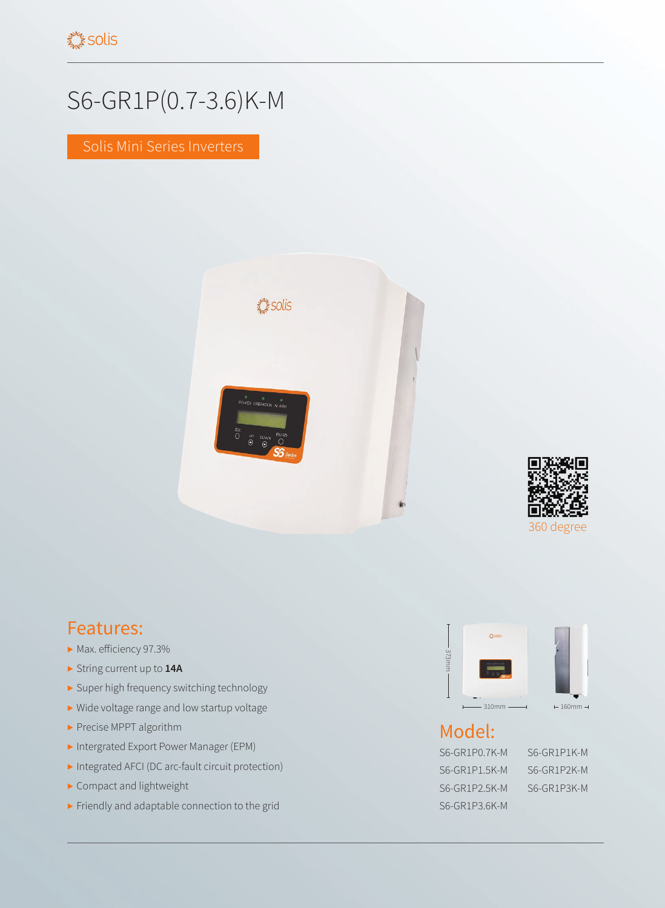## S6-GR1P(0.7-3.6)K-M

Solis Mini Series Inverters





## Features:

- ▶ Max. efficiency 97.3%
- ▶ String current up to **14A**
- ▶ Super high frequency switching technology
- ▶ Wide voltage range and low startup voltage
- ▶ Precise MPPT algorithm
- ▶ Intergrated Export Power Manager (EPM)
- ▶ Integrated AFCI (DC arc-fault circuit protection)
- ▶ Compact and lightweight
- ▶ Friendly and adaptable connection to the grid



## Model:

S6-GR1P0.7K-M S6-GR1P1K-M S6-GR1P1.5K-M S6-GR1P2K-M S6-GR1P2.5K-M S6-GR1P3K-M S6-GR1P3.6K-M